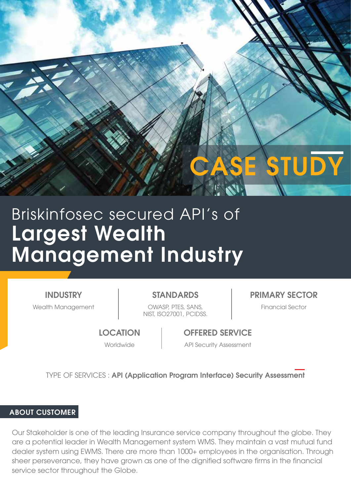# **E STUDY**

# Largest Wealth Management Industry Briskinfosec secured API's of

INDUSTRY

Wealth Management **National COWASP, PTES, SANS, COMPUTER** Financial Sector NIST, ISO27001, PCIDSS.

STANDARDS PRIMARY SECTOR

**LOCATION** 

OFFERED SERVICE

Worldwide **API Security Assessment** 

TYPE OF SERVICES : API (Application Program Interface) Security Assessment

# ABOUT CUSTOMER

Our Stakeholder is one of the leading Insurance service company throughout the globe. They are a potential leader in Wealth Management system WMS. They maintain a vast mutual fund dealer system using EWMS. There are more than 1000+ employees in the organisation. Through sheer perseverance, they have grown as one of the dignified software firms in the financial service sector throughout the Globe.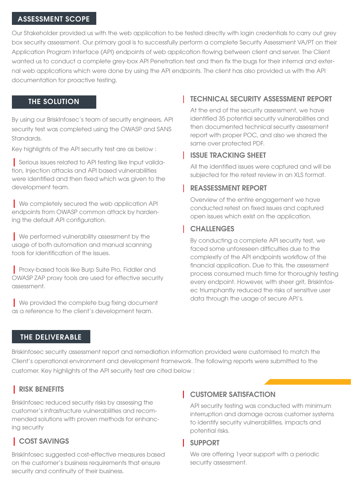#### ASSESSMENT SCOPE

Our Stakeholder provided us with the web application to be tested directly with login credentials to carry out grey box security assessment. Our primary goal is to successfully perform a complete Security Assessment VA/PT on their Application Program Interface (API) endpoints of web application flowing between client and server. The Client wanted us to conduct a complete grey-box API Penetration test and then fix the bugs for their internal and external web applications which were done by using the API endpoints. The client has also provided us with the API documentation for proactive testing.

#### THE SOLUTION

By using our BriskInfosec's team of security engineers, API security test was completed using the OWASP and SANS Standards.

Key highlights of the API security test are as below :

| Serious issues related to API testing like Input validation, Injection attacks and API based vulnerabilities were identified and then fixed which was given to the development team.

| We completely secured the web application API endpoints from OWASP common attack by hardening the default API configuration.

| We performed vulnerability assessment by the usage of both automation and manual scanning tools for identification of the issues.

| Proxy-based tools like Burp Suite Pro, Fiddler and OWASP ZAP proxy tools are used for effective security assessment.

**I** We provided the complete bug fixing document as a reference to the client's development team.

### TECHNICAL SECURITY ASSESSMENT REPORT

At the end of the security assessment, we have identified 35 potential security vulnerabilities and then documented technical security assessment report with proper POC, and also we shared the same over protected PDF.

#### ISSUE TRACKING SHEET

All the identified issues were captured and will be subjected for the retest review in an XLS format.

#### REASSESSMENT REPORT

Overview of the entire engagement we have conducted retest on fixed issues and captured open issues which exist on the application.

#### **CHALLENGES**

By conducting a complete API security test, we faced some unforeseen difficulties due to the complexity of the API endpoints workflow of the financial application. Due to this, the assessment process consumed much time for thoroughly testing every endpoint. However, with sheer grit, BriskInfosec triumphantly reduced the risks of sensitive user data through the usage of secure API's.

#### THE DELIVERABLE

Briskinfosec security assessment report and remediation information provided were customised to match the Client's operational environment and development framework. The following reports were submitted to the customer. Key highlights of the API security test are cited below :

#### | RISK BENEFITS

BriskInfosec reduced security risks by assessing the customer's infrastructure vulnerabilities and recommended solutions with proven methods for enhancing security

# | COST SAVINGS

BriskInfosec suggested cost-effective measures based on the customer's business requirements that ensure security and continuity of their business.

#### **CUSTOMER SATISFACTION**

API security testing was conducted with minimum interruption and damage across customer systems to identify security vulnerabilities, impacts and potential risks.

#### SUPPORT

We are offering 1year support with a periodic security assessment.